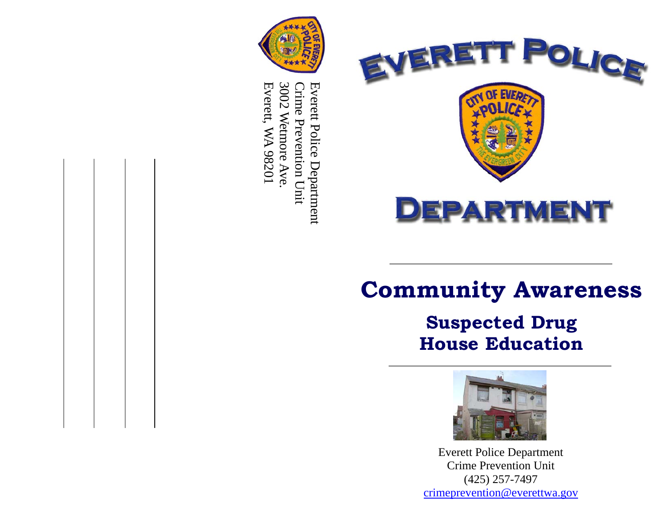



# **Suspected Drug House Education**



Everett Police Department Crime Prevention Unit (425) 257-7497 crimeprevention@everettwa.gov



3002 Everett, WA 98201 3002 Wetmore Ave. Crime Prevention Unit Everett Police Department Everett, WA 98201 Everett Police Department Crime Prevention Unit Wetmore Ave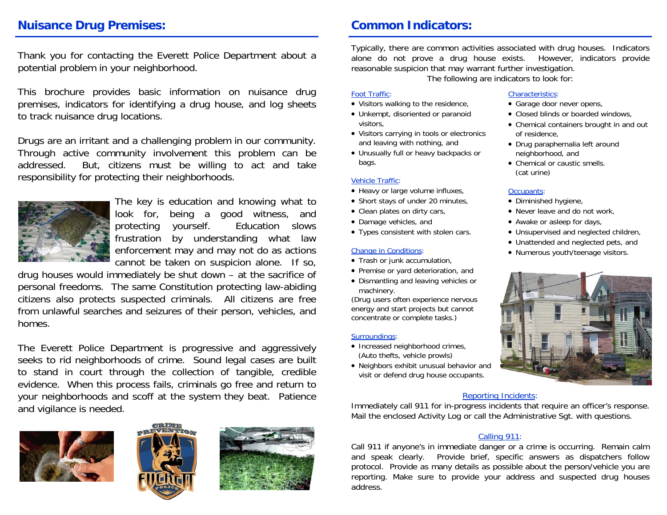## **Nuisance Drug Premises: Common Indicators:**

Thank you for contacting the Everett Police Department about a potential problem in your neighborhood.

This brochure provides basic information on nuisance drug premises, indicators for identifying a drug house, and log sheets to track nuisance drug locations.

Drugs are an irritant and a challenging problem in our community. Through active community involvement this problem can be addressed. But, citizens must be willing to act and take responsibility for protecting their neighborhoods.



The key is education and knowing what to look for, being a good witness, and protecting yourself. Education slows frustration by understanding what law enforcement may and may not do as actions cannot be taken on suspicion alone. If so,

drug houses would immediately be shut down – at the sacrifice of personal freedoms. The same Constitution protecting law-abiding citizens also protects suspected criminals. All citizens are free from unlawful searches and seizures of their person, vehicles, and homes.

The Everett Police Department is progressive and aggressively seeks to rid neighborhoods of crime. Sound legal cases are built to stand in court through the collection of tangible, credible evidence. When this process fails, criminals go free and return to your neighborhoods and scoff at the system they beat. Patience and vigilance is needed.







Typically, there are common activities associated with drug houses. Indicators alone do not prove a drug house exists. However, indicators provide reasonable suspicion that may warrant further investigation.

The following are indicators to look for:

#### Foot Traffic:

- Visitors walking to the residence,
- Unkempt, disoriented or paranoid visitors,
- Visitors carrying in tools or electronics and leaving with nothing, and
- Unusually full or heavy backpacks or bags.

#### Vehicle Traffic:

- Heavy or large volume influxes,
- Short stays of under 20 minutes,
- Clean plates on dirty cars,
- Damage vehicles, and
- Types consistent with stolen cars.

#### Change in Conditions:

- Trash or junk accumulation,
- Premise or yard deterioration, and
- Dismantling and leaving vehicles or machinery.

(Drug users often experience nervous energy and start projects but cannot concentrate or complete tasks.)

#### Surroundings:

- Increased neighborhood crimes, (Auto thefts, vehicle prowls)
- Neighbors exhibit unusual behavior and visit or defend drug house occupants.

#### Characteristics: • Garage door never opens,

- Closed blinds or boarded windows,
- Chemical containers brought in and out of residence,
- Drug paraphernalia left around neighborhood, and
- Chemical or caustic smells. (cat urine)

### Occupants:

- Diminished hygiene,
- Never leave and do not work,
- Awake or asleep for days,
- Unsupervised and neglected children,
- Unattended and neglected pets, and
- Numerous youth/teenage visitors.



#### Reporting Incidents:

Immediately call 911 for in-progress incidents that require an officer's response. Mail the enclosed Activity Log or call the Administrative Sgt. with questions.

#### Calling 911:

Call 911 if anyone's in immediate danger or a crime is occurring. Remain calm and speak clearly. Provide brief, specific answers as dispatchers follow protocol. Provide as many details as possible about the person/vehicle you are reporting. Make sure to provide your address and suspected drug houses address.